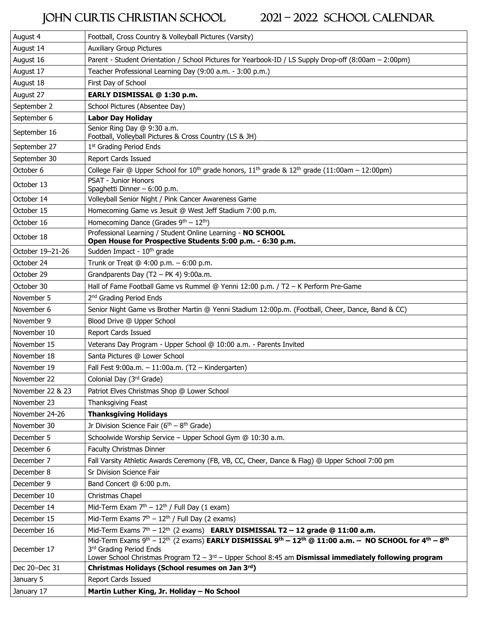## JOHN CURTIS CHRISTIAN SCHOOL 2021 – 2022 SCHOOL CALENDAR

| August 4         | Football, Cross Country & Volleyball Pictures (Varsity)                                                                                                                                                                                             |
|------------------|-----------------------------------------------------------------------------------------------------------------------------------------------------------------------------------------------------------------------------------------------------|
| August 14        | <b>Auxiliary Group Pictures</b>                                                                                                                                                                                                                     |
| August 16        | Parent - Student Orientation / School Pictures for Yearbook-ID / LS Supply Drop-off (8:00am - 2:00pm)                                                                                                                                               |
| August 17        | Teacher Professional Learning Day (9:00 a.m. - 3:00 p.m.)                                                                                                                                                                                           |
| August 18        | First Day of School                                                                                                                                                                                                                                 |
| August 27        | EARLY DISMISSAL @ 1:30 p.m.                                                                                                                                                                                                                         |
| September 2      | School Pictures (Absentee Day)                                                                                                                                                                                                                      |
| September 6      | <b>Labor Day Holiday</b>                                                                                                                                                                                                                            |
| September 16     | Senior Ring Day @ 9:30 a.m.<br>Football, Volleyball Pictures & Cross Country (LS & JH)                                                                                                                                                              |
| September 27     | 1st Grading Period Ends                                                                                                                                                                                                                             |
| September 30     | <b>Report Cards Issued</b>                                                                                                                                                                                                                          |
| October 6        | College Fair @ Upper School for 10 <sup>th</sup> grade honors, $11^{th}$ grade & $12^{th}$ grade (11:00am - 12:00pm)                                                                                                                                |
| October 13       | PSAT - Junior Honors<br>Spaghetti Dinner - 6:00 p.m.                                                                                                                                                                                                |
| October 14       | Volleyball Senior Night / Pink Cancer Awareness Game                                                                                                                                                                                                |
| October 15       | Homecoming Game vs Jesuit @ West Jeff Stadium 7:00 p.m.                                                                                                                                                                                             |
| October 16       | Homecoming Dance (Grades $9th - 12th$ )                                                                                                                                                                                                             |
| October 18       | Professional Learning / Student Online Learning - NO SCHOOL<br>Open House for Prospective Students 5:00 p.m. - 6:30 p.m.                                                                                                                            |
| October 19-21-26 | Sudden Impact - 10 <sup>th</sup> grade                                                                                                                                                                                                              |
| October 24       | Trunk or Treat @ 4:00 p.m. - 6:00 p.m.                                                                                                                                                                                                              |
| October 29       | Grandparents Day (T2 - PK 4) 9:00a.m.                                                                                                                                                                                                               |
| October 30       | Hall of Fame Football Game vs Rummel @ Yenni 12:00 p.m. / T2 - K Perform Pre-Game                                                                                                                                                                   |
| November 5       | 2 <sup>nd</sup> Grading Period Ends                                                                                                                                                                                                                 |
| November 6       | Senior Night Game vs Brother Martin @ Yenni Stadium 12:00p.m. (Football, Cheer, Dance, Band & CC)                                                                                                                                                   |
| November 9       | Blood Drive @ Upper School                                                                                                                                                                                                                          |
| November 10      | <b>Report Cards Issued</b>                                                                                                                                                                                                                          |
| November 15      | Veterans Day Program - Upper School @ 10:00 a.m. - Parents Invited                                                                                                                                                                                  |
| November 18      | Santa Pictures @ Lower School                                                                                                                                                                                                                       |
| November 19      | Fall Fest 9:00a.m. - 11:00a.m. (T2 - Kindergarten)                                                                                                                                                                                                  |
| November 22      | Colonial Day (3rd Grade)                                                                                                                                                                                                                            |
| November 22 & 23 | Patriot Elves Christmas Shop @ Lower School                                                                                                                                                                                                         |
| November 23      | Thanksgiving Feast                                                                                                                                                                                                                                  |
| November 24-26   | <b>Thanksgiving Holidays</b>                                                                                                                                                                                                                        |
| November 30      | Jr Division Science Fair ( $6th - 8th$ Grade)                                                                                                                                                                                                       |
| December 5       | Schoolwide Worship Service - Upper School Gym @ 10:30 a.m.                                                                                                                                                                                          |
| December 6       | Faculty Christmas Dinner                                                                                                                                                                                                                            |
| December 7       | Fall Varsity Athletic Awards Ceremony (FB, VB, CC, Cheer, Dance & Flag) @ Upper School 7:00 pm                                                                                                                                                      |
| December 8       | Sr Division Science Fair                                                                                                                                                                                                                            |
| December 9       | Band Concert @ 6:00 p.m.                                                                                                                                                                                                                            |
| December 10      | Christmas Chapel                                                                                                                                                                                                                                    |
| December 14      | Mid-Term Exam $7th - 12th$ / Full Day (1 exam)                                                                                                                                                                                                      |
| December 15      | Mid-Term Exams $7th - 12th$ / Full Day (2 exams)                                                                                                                                                                                                    |
| December 16      | Mid-Term Exams $7th - 12th$ (2 exams) <b>EARLY DISMISSAL T2 - 12 grade @ 11:00 a.m.</b>                                                                                                                                                             |
| December 17      | Mid-Term Exams 9th - 12th (2 exams) EARLY DISMISSAL 9th - 12th @ 11:00 a.m. - NO SCHOOL for 4th - 8th<br>3rd Grading Period Ends<br>Lower School Christmas Program T2 - $3rd$ - Upper School 8:45 am <b>Dismissal immediately following program</b> |
| Dec 20-Dec 31    | Christmas Holidays (School resumes on Jan 3rd)                                                                                                                                                                                                      |
| January 5        | Report Cards Issued                                                                                                                                                                                                                                 |
| January 17       | Martin Luther King, Jr. Holiday - No School                                                                                                                                                                                                         |